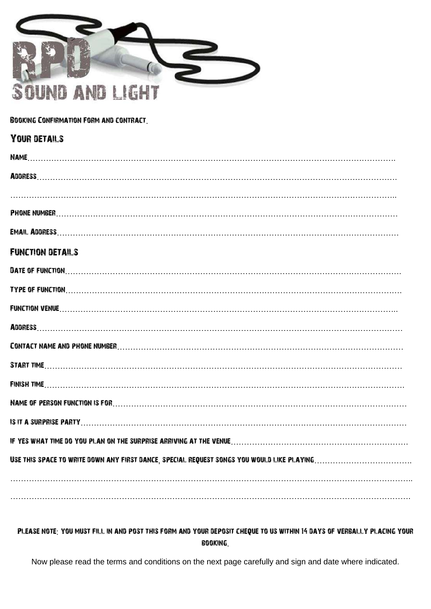

#### Booking Confirmation Form and contract.

| <b>YOUR DETAILS</b>                                                                                                                                                                                                            |
|--------------------------------------------------------------------------------------------------------------------------------------------------------------------------------------------------------------------------------|
| <b>NAME</b>                                                                                                                                                                                                                    |
|                                                                                                                                                                                                                                |
|                                                                                                                                                                                                                                |
|                                                                                                                                                                                                                                |
|                                                                                                                                                                                                                                |
| <b>FUNCTION DETAILS</b>                                                                                                                                                                                                        |
| DATE OF FUNCTION William Committee Committee Committee Committee Committee Committee Committee Committee Commit                                                                                                                |
| TYPE OF FUNCTION William Committee Committee Committee Committee Committee Committee Committee Committee Committee Committee Committee Committee Committee Committee Committee Committee Committee Committee Committee Committ |
| <b>FUNCTION VENUE</b> [ <b><i> </i></b>                                                                                                                                                                                        |
|                                                                                                                                                                                                                                |
|                                                                                                                                                                                                                                |
|                                                                                                                                                                                                                                |
|                                                                                                                                                                                                                                |
|                                                                                                                                                                                                                                |
|                                                                                                                                                                                                                                |
|                                                                                                                                                                                                                                |
|                                                                                                                                                                                                                                |
|                                                                                                                                                                                                                                |
|                                                                                                                                                                                                                                |
|                                                                                                                                                                                                                                |

### Please note: you must fill in and post this form and your deposit cheque to us within 14 days of verbally placing your booking.

Now please read the terms and conditions on the next page carefully and sign and date where indicated.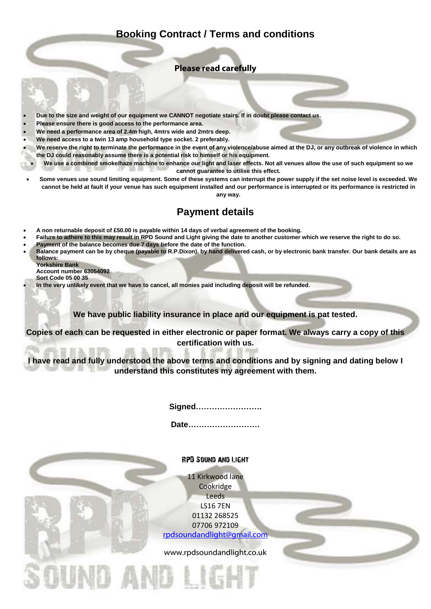## **Booking Contract / Terms and conditions**

### **Please read carefully**

- **Due to the size and weight of our equipment we CANNOT negotiate stairs. If in doubt please contact us.**
- **Please ensure there is good access to the performance area.**
- **We need a performance area of 2.4m high, 4mtrs wide and 2mtrs deep.**
- **We need access to a twin 13 amp household type socket. 2 preferably.**
- **We reserve the right to terminate the performance in the event of any violence/abuse aimed at the DJ, or any outbreak of violence in which the DJ could reasonably assume there is a potential risk to himself or his equipment.**
- **We use a combined smoke/haze machine to enhance our light and laser effects. Not all venues allow the use of such equipment so we cannot guarantee to utilise this effect.**
- **Some venues use sound limiting equipment. Some of these systems can interrupt the power supply if the set noise level is exceeded. We cannot be held at fault if your venue has such equipment installed and our performance is interrupted or its performance is restricted in any way.**

# **Payment details**

- **A non returnable deposit of £50.00 is payable within 14 days of verbal agreement of the booking.**
- **Failure to adhere to this may result in RPD Sound and Light giving the date to another customer which we reserve the right to do so.**
- **Payment of the balance becomes due 7 days before the date of the function.**
- **Balance payment can be by cheque (payable to R.P.Dixon), by hand delivered cash, or by electronic bank transfer. Our bank details are as follows:**
	- **Yorkshire Bank Account number 63054092**
	- **Sort Code 05 00 35**
- **In the very unlikely event that we have to cancel, all monies paid including deposit will be refunded.**

**We have public liability insurance in place and our equipment is pat tested.** 

**Copies of each can be requested in either electronic or paper format. We always carry a copy of this certification with us.**

**I have read and fully understood the above terms and conditions and by signing and dating below I understand this constitutes my agreement with them.**

**Signed…………………….**

**Date………………………**

RPD Sound and Light 11 Kirkwood lane Cookridge Leeds LS16 7EN 01132 268525 07706 972109 [rpdsoundandlight@gmail.com](mailto:rpdsoundandlight@gmail.com) www.rpdsoundandlight.co.ukOUND AN